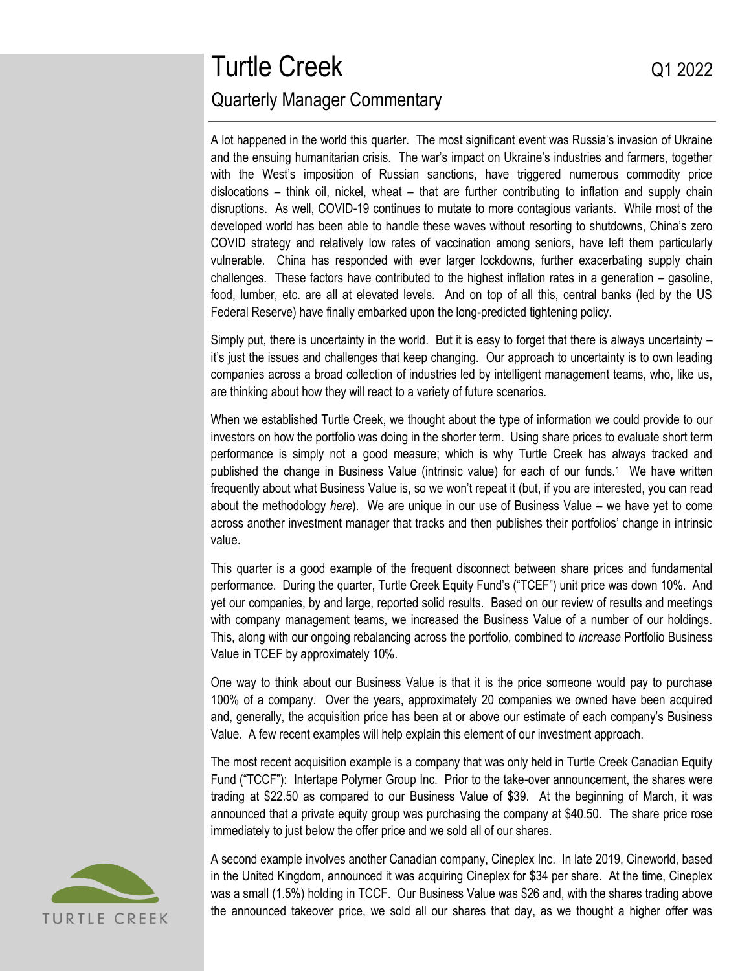# Turtle Creek Q1 2022 Quarterly Manager Commentary

A lot happened in the world this quarter. The most significant event was Russia's invasion of Ukraine and the ensuing humanitarian crisis. The war's impact on Ukraine's industries and farmers, together with the West's imposition of Russian sanctions, have triggered numerous commodity price dislocations – think oil, nickel, wheat – that are further contributing to inflation and supply chain disruptions. As well, COVID-19 continues to mutate to more contagious variants. While most of the developed world has been able to handle these waves without resorting to shutdowns, China's zero COVID strategy and relatively low rates of vaccination among seniors, have left them particularly vulnerable. China has responded with ever larger lockdowns, further exacerbating supply chain challenges. These factors have contributed to the highest inflation rates in a generation – gasoline, food, lumber, etc. are all at elevated levels. And on top of all this, central banks (led by the US Federal Reserve) have finally embarked upon the long-predicted tightening policy.

Simply put, there is uncertainty in the world. But it is easy to forget that there is always uncertainty – it's just the issues and challenges that keep changing. Our approach to uncertainty is to own leading companies across a broad collection of industries led by intelligent management teams, who, like us, are thinking about how they will react to a variety of future scenarios.

When we established Turtle Creek, we thought about the type of information we could provide to our investors on how the portfolio was doing in the shorter term. Using share prices to evaluate short term performance is simply not a good measure; which is why Turtle Creek has always tracked and published the change in Business Value (intrinsic value) for each of our funds.<sup>1</sup> We have written frequently about what Business Value is, so we won't repeat it (but, if you are interested, you can read about the methodology *[here](https://www.turtlecreek.ca/wp-content/uploads/2020/09/TCAM-Thought-Piece-Edge-2-Valuation-Dec-2012.pdf)*). We are unique in our use of Business Value – we have yet to come across another investment manager that tracks and then publishes their portfolios' change in intrinsic value.

This quarter is a good example of the frequent disconnect between share prices and fundamental performance. During the quarter, Turtle Creek Equity Fund's ("TCEF") unit price was down 10%. And yet our companies, by and large, reported solid results. Based on our review of results and meetings with company management teams, we increased the Business Value of a number of our holdings. This, along with our ongoing rebalancing across the portfolio, combined to *increase* Portfolio Business Value in TCEF by approximately 10%.

One way to think about our Business Value is that it is the price someone would pay to purchase 100% of a company. Over the years, approximately 20 companies we owned have been acquired and, generally, the acquisition price has been at or above our estimate of each company's Business Value. A few recent examples will help explain this element of our investment approach.

The most recent acquisition example is a company that was only held in Turtle Creek Canadian Equity Fund ("TCCF"): Intertape Polymer Group Inc. Prior to the take-over announcement, the shares were trading at \$22.50 as compared to our Business Value of \$39. At the beginning of March, it was announced that a private equity group was purchasing the company at \$40.50. The share price rose immediately to just below the offer price and we sold all of our shares.



A second example involves another Canadian company, Cineplex Inc. In late 2019, Cineworld, based in the United Kingdom, announced it was acquiring Cineplex for \$34 per share. At the time, Cineplex was a small (1.5%) holding in TCCF. Our Business Value was \$26 and, with the shares trading above the announced takeover price, we sold all our shares that day, as we thought a higher offer was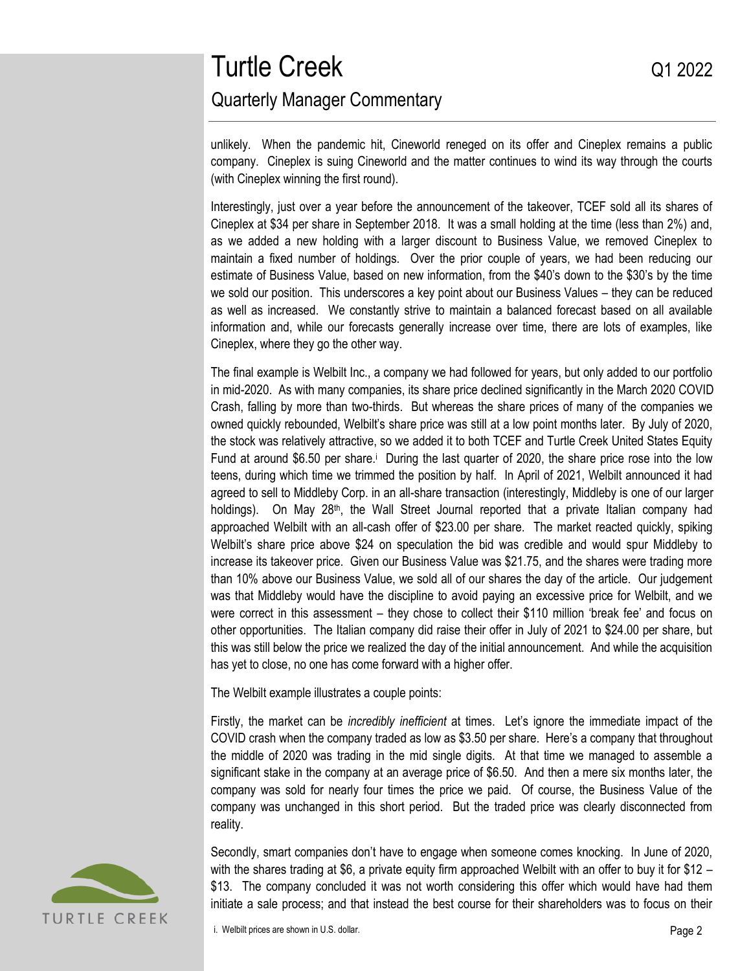# Turtle Creek Q1 2022 Quarterly Manager Commentary

unlikely. When the pandemic hit, Cineworld reneged on its offer and Cineplex remains a public company. Cineplex is suing Cineworld and the matter continues to wind its way through the courts (with Cineplex winning the first round).

Interestingly, just over a year before the announcement of the takeover, TCEF sold all its shares of Cineplex at \$34 per share in September 2018. It was a small holding at the time (less than 2%) and, as we added a new holding with a larger discount to Business Value, we removed Cineplex to maintain a fixed number of holdings. Over the prior couple of years, we had been reducing our estimate of Business Value, based on new information, from the \$40's down to the \$30's by the time we sold our position. This underscores a key point about our Business Values – they can be reduced as well as increased. We constantly strive to maintain a balanced forecast based on all available information and, while our forecasts generally increase over time, there are lots of examples, like Cineplex, where they go the other way.

The final example is Welbilt Inc., a company we had followed for years, but only added to our portfolio in mid-2020. As with many companies, its share price declined significantly in the March 2020 COVID Crash, falling by more than two-thirds. But whereas the share prices of many of the companies we owned quickly rebounded, Welbilt's share price was still at a low point months later. By July of 2020, the stock was relatively attractive, so we added it to both TCEF and Turtle Creek United States Equity Fund at around \$6.50 per share.<sup>i</sup> During the last quarter of 2020, the share price rose into the low teens, during which time we trimmed the position by half. In April of 2021, Welbilt announced it had agreed to sell to Middleby Corp. in an all-share transaction (interestingly, Middleby is one of our larger holdings). On May 28<sup>th</sup>, the Wall Street Journal reported that a private Italian company had approached Welbilt with an all-cash offer of \$23.00 per share. The market reacted quickly, spiking Welbilt's share price above \$24 on speculation the bid was credible and would spur Middleby to increase its takeover price. Given our Business Value was \$21.75, and the shares were trading more than 10% above our Business Value, we sold all of our shares the day of the article. Our judgement was that Middleby would have the discipline to avoid paying an excessive price for Welbilt, and we were correct in this assessment – they chose to collect their \$110 million 'break fee' and focus on other opportunities. The Italian company did raise their offer in July of 2021 to \$24.00 per share, but this was still below the price we realized the day of the initial announcement. And while the acquisition has yet to close, no one has come forward with a higher offer.

The Welbilt example illustrates a couple points:

Firstly, the market can be *incredibly inefficient* at times. Let's ignore the immediate impact of the COVID crash when the company traded as low as \$3.50 per share. Here's a company that throughout the middle of 2020 was trading in the mid single digits. At that time we managed to assemble a significant stake in the company at an average price of \$6.50. And then a mere six months later, the company was sold for nearly four times the price we paid. Of course, the Business Value of the company was unchanged in this short period. But the traded price was clearly disconnected from reality.



Secondly, smart companies don't have to engage when someone comes knocking. In June of 2020, with the shares trading at \$6, a private equity firm approached Welbilt with an offer to buy it for \$12 – \$13. The company concluded it was not worth considering this offer which would have had them initiate a sale process; and that instead the best course for their shareholders was to focus on their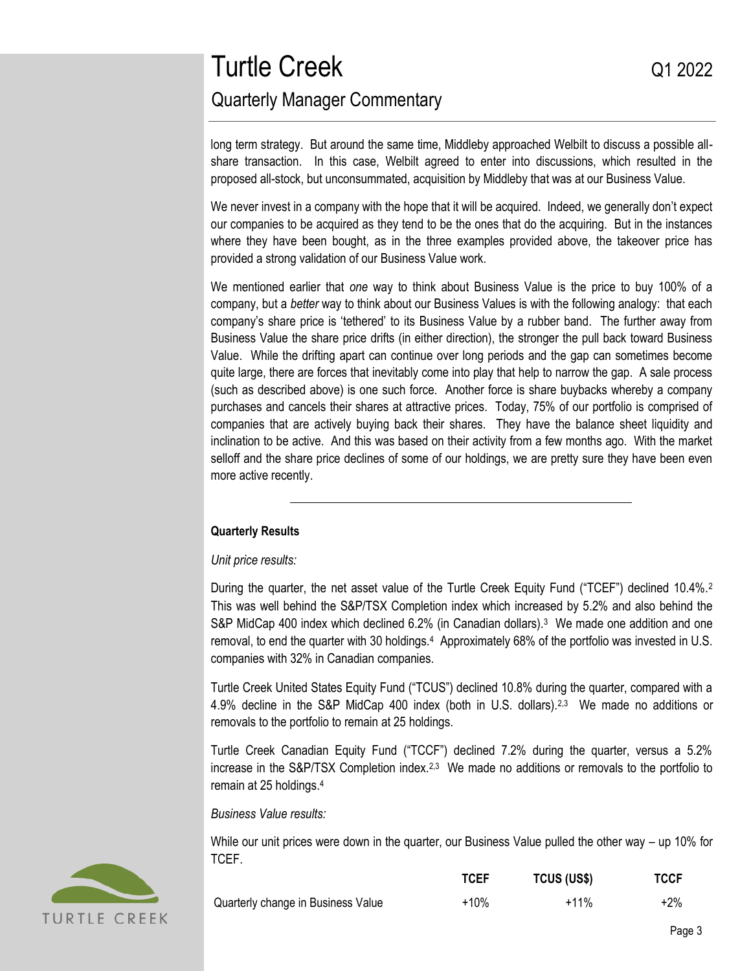long term strategy. But around the same time, Middleby approached Welbilt to discuss a possible allshare transaction. In this case, Welbilt agreed to enter into discussions, which resulted in the proposed all-stock, but unconsummated, acquisition by Middleby that was at our Business Value.

We never invest in a company with the hope that it will be acquired. Indeed, we generally don't expect our companies to be acquired as they tend to be the ones that do the acquiring. But in the instances where they have been bought, as in the three examples provided above, the takeover price has provided a strong validation of our Business Value work.

We mentioned earlier that *one* way to think about Business Value is the price to buy 100% of a company, but a *better* way to think about our Business Values is with the following analogy: that each company's share price is 'tethered' to its Business Value by a rubber band. The further away from Business Value the share price drifts (in either direction), the stronger the pull back toward Business Value. While the drifting apart can continue over long periods and the gap can sometimes become quite large, there are forces that inevitably come into play that help to narrow the gap. A sale process (such as described above) is one such force. Another force is share buybacks whereby a company purchases and cancels their shares at attractive prices. Today, 75% of our portfolio is comprised of companies that are actively buying back their shares. They have the balance sheet liquidity and inclination to be active. And this was based on their activity from a few months ago. With the market selloff and the share price declines of some of our holdings, we are pretty sure they have been even more active recently.

### **Quarterly Results**

*Unit price results:*

During the quarter, the net asset value of the Turtle Creek Equity Fund ("TCEF") declined 10.4%.<sup>2</sup> This was well behind the S&P/TSX Completion index which increased by 5.2% and also behind the S&P MidCap 400 index which declined 6.2% (in Canadian dollars).<sup>3</sup> We made one addition and one removal, to end the quarter with 30 holdings.<sup>4</sup> Approximately 68% of the portfolio was invested in U.S. companies with 32% in Canadian companies.

Turtle Creek United States Equity Fund ("TCUS") declined 10.8% during the quarter, compared with a 4.9% decline in the S&P MidCap 400 index (both in U.S. dollars).<sup>2,3</sup> We made no additions or removals to the portfolio to remain at 25 holdings.

Turtle Creek Canadian Equity Fund ("TCCF") declined 7.2% during the quarter, versus a 5.2% increase in the S&P/TSX Completion index.<sup>2,3</sup> We made no additions or removals to the portfolio to remain at 25 holdings.<sup>4</sup>

*Business Value results:*

While our unit prices were down in the quarter, our Business Value pulled the other way – up 10% for TCEF.

|  | TURTLE CREEK |  |
|--|--------------|--|

|                                    | ------- | . <u>.</u> | ------- |
|------------------------------------|---------|------------|---------|
| Quarterly change in Business Value | +10%    | $+11%$     | $+2%$   |

**TCEF TCUS (US\$) TCCF**